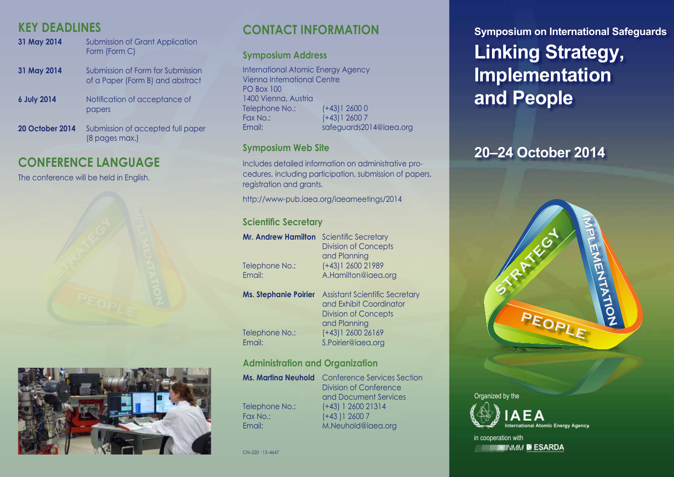## **KEY DEADLINES**

| 31 May 2014            | <b>Submission of Grant Application</b><br>Form (Form C)               |
|------------------------|-----------------------------------------------------------------------|
| 31 May 2014            | Submission of Form for Submission<br>of a Paper (Form B) and abstract |
| <b>6 July 2014</b>     | Notification of acceptance of<br>papers                               |
| <b>20 October 2014</b> | Submission of accepted full paper<br>(8 pages max.)                   |

## **CONFERENCE LANGUAGE**

The conference will be held in English.





# **CONTACT INFORMATION**

### **Symposium Address**

International Atomic Energy Agency Vienna International Centre PO Box 100 1400 Vienna, Austria Telephone No.: (+43)1 2600 0 Fax No.: (+43)1 2600 7 Email: safeguards2014@iaea.org

### **Symposium Web Site**

Includes detailed information on administrative procedures, including participation, submission of papers, registration and grants.

http://www-pub.iaea.org/iaeameetings/2014

### **Scientific Secretary**

| <b>Mr. Andrew Hamilton</b><br>Telephone No.:<br>Email: | Scientific Secretary<br><b>Division of Concepts</b><br>and Planning<br>(+43) 1 2600 21989<br>A.Hamilton@iaea.org |
|--------------------------------------------------------|------------------------------------------------------------------------------------------------------------------|
| <b>Ms. Stephanie Poirier</b>                           | <b>Assistant Scientific Secretary</b><br>and Exhibit Coordinator<br><b>Division of Concepts</b><br>and Planning  |
| Telephone No.:<br>Email:                               | $(+43)1260026169$<br>S.Poirier@iaea.org                                                                          |

## **Administration and Organization**

|                | <b>Ms. Martina Neuhold</b> Conference Services Section |
|----------------|--------------------------------------------------------|
|                | Division of Conference                                 |
|                | and Document Services                                  |
| Telephone No.: | $(+43)$ 1 2600 21314                                   |
| Fax No.:       | $(+43)126007$                                          |
| Email:         | M.Neuhold@iaea.org                                     |

 $CN-220 \cdot 13 - 4647$ 

**Symposium on International Safeguards Linking Strategy, Implementation and People**

# **20–24 October 2014**





in cooperation with **ENNAM SESARDA**